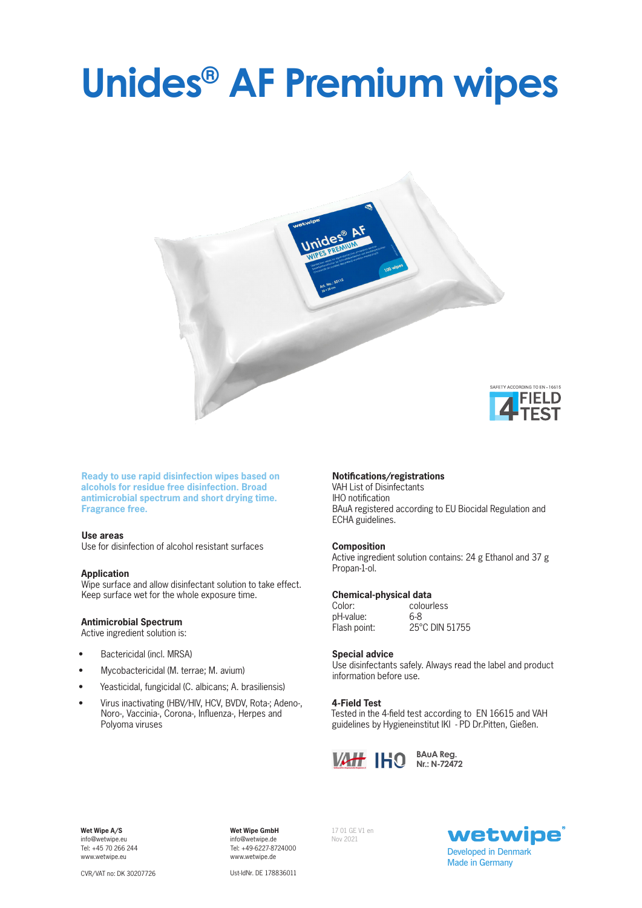# **Unides® AF Premium wipes**



**Ready to use rapid disinfection wipes based on alcohols for residue free disinfection. Broad antimicrobial spectrum and short drying time. Fragrance free.**

### **Use areas**

Use for disinfection of alcohol resistant surfaces

#### **Application**

Wipe surface and allow disinfectant solution to take effect. Keep surface wet for the whole exposure time.

### **Antimicrobial Spectrum**

Active ingredient solution is:

- Bactericidal (incl. MRSA)
- Mycobactericidal (M. terrae; M. avium)
- Yeasticidal, fungicidal (C. albicans; A. brasiliensis)
- Virus inactivating (HBV/HIV, HCV, BVDV, Rota-; Adeno-, Noro-, Vaccinia-, Corona-, Influenza-, Herpes and Polyoma viruses

### **Notifications/registrations**

VAH List of Disinfectants IHO notification BAuA registered according to EU Biocidal Regulation and ECHA guidelines.

### **Composition**

Active ingredient solution contains: 24 g Ethanol and 37 g Propan-1-ol.

### **Chemical-physical data**<br>Color: colour

pH-value: 6-8<br>Flash point: 25°

colourless 25°C DIN 51755

### **Special advice**

Use disinfectants safely. Always read the label and product information before use.

### **4-Field Test**

Tested in the 4-field test according to EN 16615 and VAH guidelines by Hygieneinstitut IKI - PD Dr.Pitten, Gießen.



**Nr.: N-72472**

**Wet Wipe A/S**  info@wetwipe.eu Tel: +45 70 266 244 www.wetwipe.eu

**Wet Wipe GmbH** info@wetwipe.de Tel: +49-6227-8724000 www.wetwipe.de

17 01 GE V1 en Nov 2021



CVR/VAT no: DK 30207726

Ust-IdNr. DE 178836011